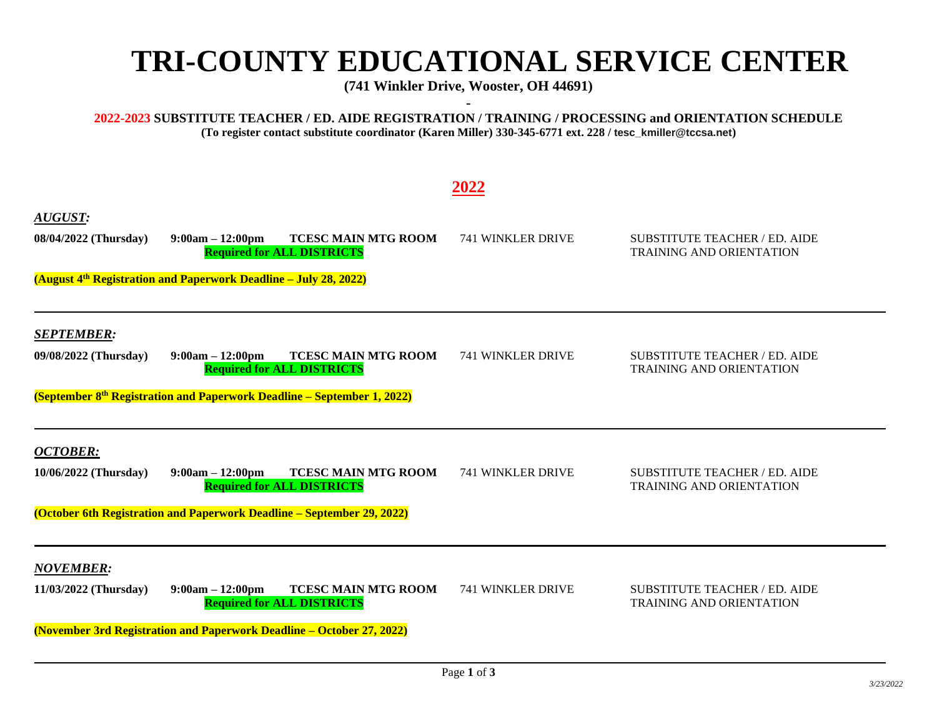## **TRI-COUNTY EDUCATIONAL SERVICE CENTER**

**(741 Winkler Drive, Wooster, OH 44691) -**

**2022-2023 SUBSTITUTE TEACHER / ED. AIDE REGISTRATION / TRAINING / PROCESSING and ORIENTATION SCHEDULE (To register contact substitute coordinator (Karen Miller) 330-345-6771 ext. 228 / tesc\_kmiller@tccsa.net)**

## **2022**

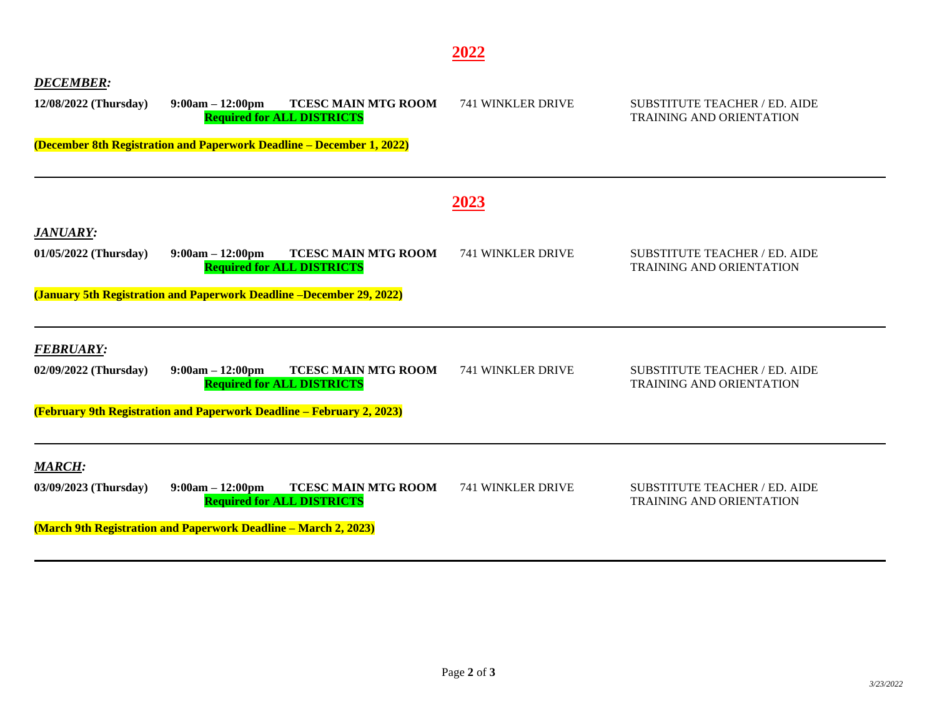| <b>DECEMBER:</b><br>12/08/2022 (Thursday) | <b>TCESC MAIN MTG ROOM</b><br>$9:00am - 12:00pm$<br><b>Required for ALL DISTRICTS</b><br>(December 8th Registration and Paperwork Deadline – December 1, 2022)        | <b>741 WINKLER DRIVE</b> | SUBSTITUTE TEACHER / ED. AIDE<br><b>TRAINING AND ORIENTATION</b>        |
|-------------------------------------------|-----------------------------------------------------------------------------------------------------------------------------------------------------------------------|--------------------------|-------------------------------------------------------------------------|
|                                           |                                                                                                                                                                       | <u>2023</u>              |                                                                         |
| <b>JANUARY:</b><br>01/05/2022 (Thursday)  | $9:00am - 12:00pm$<br><b>TCESC MAIN MTG ROOM</b><br><b>Required for ALL DISTRICTS</b><br>(January 5th Registration and Paperwork Deadline –December 29, 2022)         | <b>741 WINKLER DRIVE</b> | <b>SUBSTITUTE TEACHER / ED. AIDE</b><br><b>TRAINING AND ORIENTATION</b> |
| <b>FEBRUARY:</b><br>02/09/2022 (Thursday) | $9:00am - 12:00pm$<br><b>TCESC MAIN MTG ROOM</b><br><b>Required for ALL DISTRICTS</b><br><b>(February 9th Registration and Paperwork Deadline – February 2, 2023)</b> | <b>741 WINKLER DRIVE</b> | <b>SUBSTITUTE TEACHER / ED. AIDE</b><br><b>TRAINING AND ORIENTATION</b> |
| <b>MARCH:</b><br>03/09/2023 (Thursday)    | <b>TCESC MAIN MTG ROOM</b><br>$9:00am - 12:00pm$<br><b>Required for ALL DISTRICTS</b><br>(March 9th Registration and Paperwork Deadline – March 2, 2023)              | 741 WINKLER DRIVE        | <b>SUBSTITUTE TEACHER / ED. AIDE</b><br><b>TRAINING AND ORIENTATION</b> |

**2022**